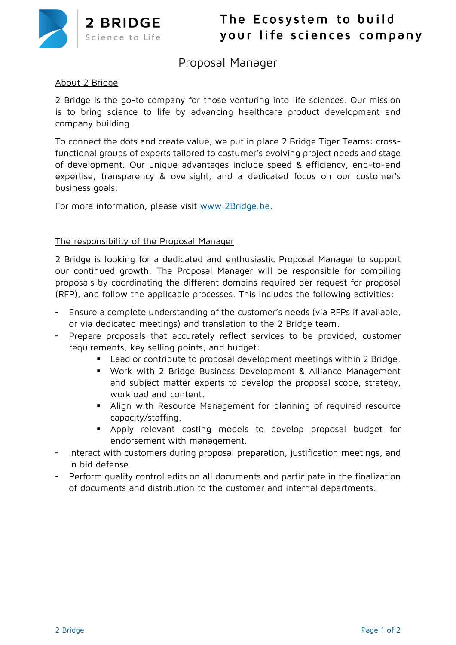

# **Proposal Manager**

## **About 2 Bridge**

2 Bridge is the go-to company for those venturing into life sciences. Our mission is to bring science to life by advancing healthcare product development and company building.

To connect the dots and create value, we put in place 2 Bridge Tiger Teams: crossfunctional groups of experts tailored to costumer's evolving project needs and stage of development. Our unique advantages include speed & efficiency, end-to-end expertise, transparency & oversight, and a dedicated focus on our customer's business goals.

For more information, please visit [www.2Bridge.be.](http://www.2bridge.be/)

### **The responsibility of the Proposal Manager**

2 Bridge is looking for a dedicated and enthusiastic Proposal Manager to support our continued growth. The Proposal Manager will be responsible for compiling proposals by coordinating the different domains required per request for proposal (RFP), and follow the applicable processes. This includes the following activities:

- Ensure a complete understanding of the customer's needs (via RFPs if available, or via dedicated meetings) and translation to the 2 Bridge team.
- Prepare proposals that accurately reflect services to be provided, customer requirements, key selling points, and budget:
	- Lead or contribute to proposal development meetings within 2 Bridge.
	- Work with 2 Bridge Business Development & Alliance Management and subject matter experts to develop the proposal scope, strategy, workload and content.
	- Align with Resource Management for planning of required resource capacity/staffing.
	- Apply relevant costing models to develop proposal budget for endorsement with management.
- Interact with customers during proposal preparation, justification meetings, and in bid defense.
- Perform quality control edits on all documents and participate in the finalization of documents and distribution to the customer and internal departments.